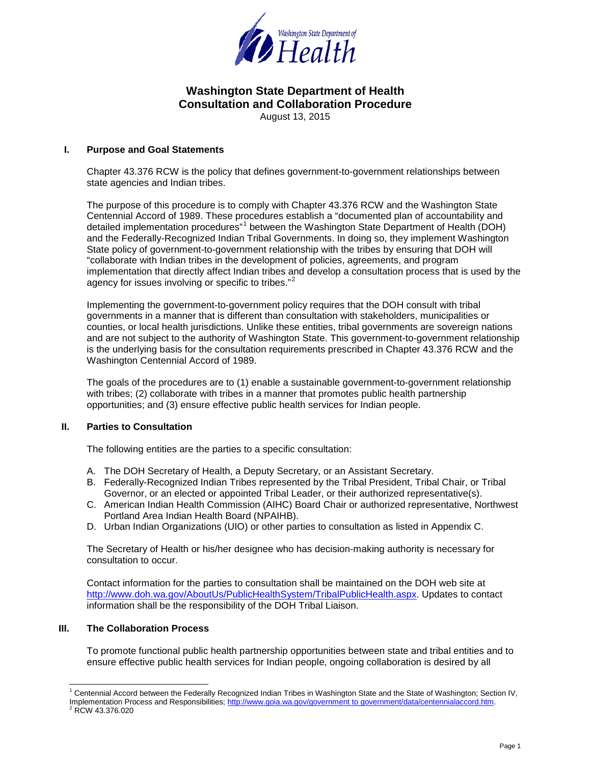

August 13, 2015

### **I. Purpose and Goal Statements**

Chapter 43.376 RCW is the policy that defines government-to-government relationships between state agencies and Indian tribes.

The purpose of this procedure is to comply with Chapter 43.376 RCW and the Washington State Centennial Accord of 1989. These procedures establish a "documented plan of accountability and detailed implementation procedures"<sup>[1](#page-0-0)</sup> between the Washington State Department of Health (DOH) and the Federally-Recognized Indian Tribal Governments. In doing so, they implement Washington State policy of government-to-government relationship with the tribes by ensuring that DOH will "collaborate with Indian tribes in the development of policies, agreements, and program implementation that directly affect Indian tribes and develop a consultation process that is used by the agency for issues involving or specific to tribes."<sup>[2](#page-0-1)</sup>

Implementing the government-to-government policy requires that the DOH consult with tribal governments in a manner that is different than consultation with stakeholders, municipalities or counties, or local health jurisdictions. Unlike these entities, tribal governments are sovereign nations and are not subject to the authority of Washington State. This government-to-government relationship is the underlying basis for the consultation requirements prescribed in Chapter 43.376 RCW and the Washington Centennial Accord of 1989.

The goals of the procedures are to (1) enable a sustainable government-to-government relationship with tribes; (2) collaborate with tribes in a manner that promotes public health partnership opportunities; and (3) ensure effective public health services for Indian people.

### **II. Parties to Consultation**

The following entities are the parties to a specific consultation:

- A. The DOH Secretary of Health, a Deputy Secretary, or an Assistant Secretary.
- B. Federally-Recognized Indian Tribes represented by the Tribal President, Tribal Chair, or Tribal Governor, or an elected or appointed Tribal Leader, or their authorized representative(s).
- C. American Indian Health Commission (AIHC) Board Chair or authorized representative, Northwest Portland Area Indian Health Board (NPAIHB).
- D. Urban Indian Organizations (UIO) or other parties to consultation as listed in Appendix C.

The Secretary of Health or his/her designee who has decision-making authority is necessary for consultation to occur.

Contact information for the parties to consultation shall be maintained on the DOH web site at [http://www.doh.wa.gov/AboutUs/PublicHealthSystem/TribalPublicHealth.aspx.](http://www.doh.wa.gov/AboutUs/PublicHealthSystem/TribalPublicHealth.aspx) Updates to contact information shall be the responsibility of the DOH Tribal Liaison.

### **III. The Collaboration Process**

To promote functional public health partnership opportunities between state and tribal entities and to ensure effective public health services for Indian people, ongoing collaboration is desired by all

<span id="page-0-1"></span><span id="page-0-0"></span> <sup>1</sup> Centennial Accord between the Federally Recognized Indian Tribes in Washington State and the State of Washington; Section IV, Implementation Process and Responsibilities[; http://www.goia.wa.gov/government to government/data/centennialaccord.htm.](http://www.goia.wa.gov/government%20to%20government/data/centennialaccord.htm)<br><sup>2</sup> RCW 43.376.020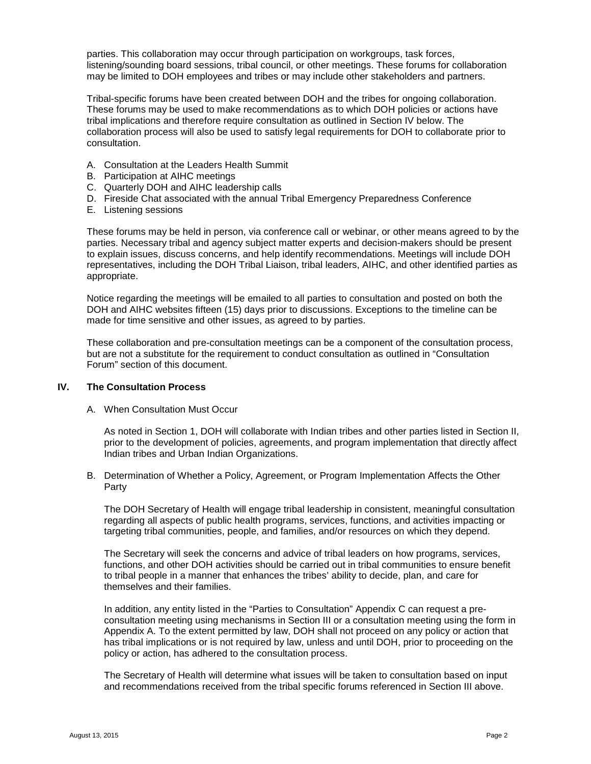parties. This collaboration may occur through participation on workgroups, task forces, listening/sounding board sessions, tribal council, or other meetings. These forums for collaboration may be limited to DOH employees and tribes or may include other stakeholders and partners.

Tribal-specific forums have been created between DOH and the tribes for ongoing collaboration. These forums may be used to make recommendations as to which DOH policies or actions have tribal implications and therefore require consultation as outlined in Section IV below. The collaboration process will also be used to satisfy legal requirements for DOH to collaborate prior to consultation.

- A. Consultation at the Leaders Health Summit
- B. Participation at AIHC meetings
- C. Quarterly DOH and AIHC leadership calls
- D. Fireside Chat associated with the annual Tribal Emergency Preparedness Conference
- E. Listening sessions

These forums may be held in person, via conference call or webinar, or other means agreed to by the parties. Necessary tribal and agency subject matter experts and decision-makers should be present to explain issues, discuss concerns, and help identify recommendations. Meetings will include DOH representatives, including the DOH Tribal Liaison, tribal leaders, AIHC, and other identified parties as appropriate.

Notice regarding the meetings will be emailed to all parties to consultation and posted on both the DOH and AIHC websites fifteen (15) days prior to discussions. Exceptions to the timeline can be made for time sensitive and other issues, as agreed to by parties.

These collaboration and pre-consultation meetings can be a component of the consultation process, but are not a substitute for the requirement to conduct consultation as outlined in "Consultation Forum" section of this document.

### **IV. The Consultation Process**

A. When Consultation Must Occur

As noted in Section 1, DOH will collaborate with Indian tribes and other parties listed in Section II, prior to the development of policies, agreements, and program implementation that directly affect Indian tribes and Urban Indian Organizations.

B. Determination of Whether a Policy, Agreement, or Program Implementation Affects the Other Party

The DOH Secretary of Health will engage tribal leadership in consistent, meaningful consultation regarding all aspects of public health programs, services, functions, and activities impacting or targeting tribal communities, people, and families, and/or resources on which they depend.

The Secretary will seek the concerns and advice of tribal leaders on how programs, services, functions, and other DOH activities should be carried out in tribal communities to ensure benefit to tribal people in a manner that enhances the tribes' ability to decide, plan, and care for themselves and their families.

In addition, any entity listed in the "Parties to Consultation" Appendix C can request a preconsultation meeting using mechanisms in Section III or a consultation meeting using the form in Appendix A. To the extent permitted by law, DOH shall not proceed on any policy or action that has tribal implications or is not required by law, unless and until DOH, prior to proceeding on the policy or action, has adhered to the consultation process.

The Secretary of Health will determine what issues will be taken to consultation based on input and recommendations received from the tribal specific forums referenced in Section III above.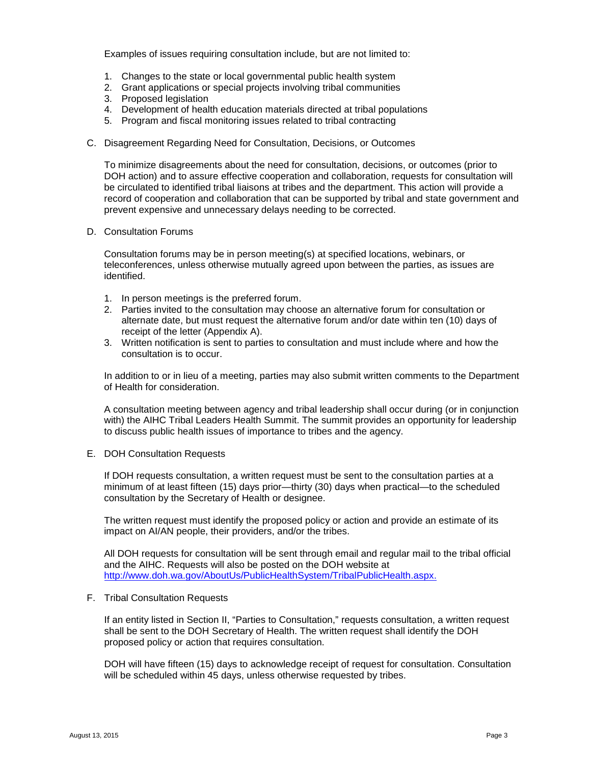Examples of issues requiring consultation include, but are not limited to:

- 1. Changes to the state or local governmental public health system
- 2. Grant applications or special projects involving tribal communities
- 3. Proposed legislation
- 4. Development of health education materials directed at tribal populations
- 5. Program and fiscal monitoring issues related to tribal contracting
- C. Disagreement Regarding Need for Consultation, Decisions, or Outcomes

To minimize disagreements about the need for consultation, decisions, or outcomes (prior to DOH action) and to assure effective cooperation and collaboration, requests for consultation will be circulated to identified tribal liaisons at tribes and the department. This action will provide a record of cooperation and collaboration that can be supported by tribal and state government and prevent expensive and unnecessary delays needing to be corrected.

D. Consultation Forums

Consultation forums may be in person meeting(s) at specified locations, webinars, or teleconferences, unless otherwise mutually agreed upon between the parties, as issues are identified.

- 1. In person meetings is the preferred forum.
- 2. Parties invited to the consultation may choose an alternative forum for consultation or alternate date, but must request the alternative forum and/or date within ten (10) days of receipt of the letter (Appendix A).
- 3. Written notification is sent to parties to consultation and must include where and how the consultation is to occur.

In addition to or in lieu of a meeting, parties may also submit written comments to the Department of Health for consideration.

A consultation meeting between agency and tribal leadership shall occur during (or in conjunction with) the AIHC Tribal Leaders Health Summit. The summit provides an opportunity for leadership to discuss public health issues of importance to tribes and the agency.

E. DOH Consultation Requests

If DOH requests consultation, a written request must be sent to the consultation parties at a minimum of at least fifteen (15) days prior—thirty (30) days when practical—to the scheduled consultation by the Secretary of Health or designee.

The written request must identify the proposed policy or action and provide an estimate of its impact on AI/AN people, their providers, and/or the tribes.

All DOH requests for consultation will be sent through email and regular mail to the tribal official and the AIHC. Requests will also be posted on the DOH website at [http://www.doh.wa.gov/AboutUs/PublicHealthSystem/TribalPublicHealth.aspx.](http://www.doh.wa.gov/AboutUs/PublicHealthSystem/TribalPublicHealth.aspx)

### F. Tribal Consultation Requests

If an entity listed in Section II, "Parties to Consultation," requests consultation, a written request shall be sent to the DOH Secretary of Health. The written request shall identify the DOH proposed policy or action that requires consultation.

DOH will have fifteen (15) days to acknowledge receipt of request for consultation. Consultation will be scheduled within 45 days, unless otherwise requested by tribes.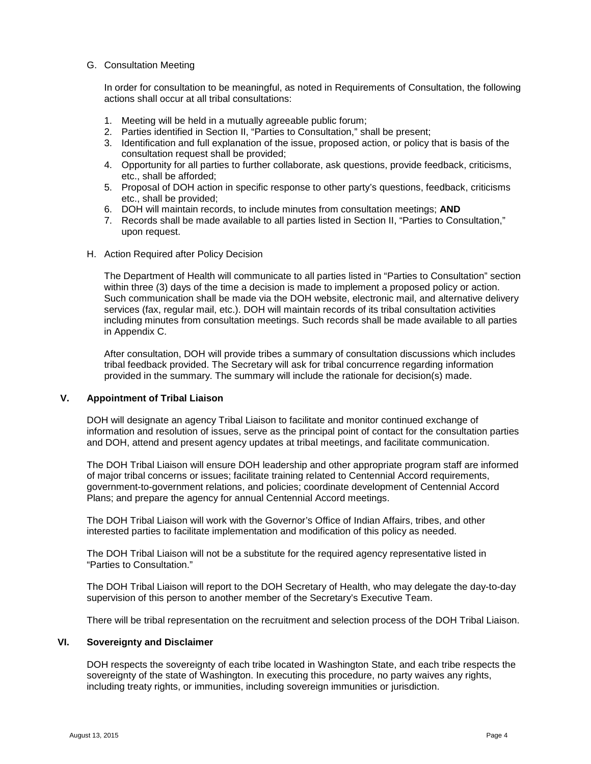### G. Consultation Meeting

In order for consultation to be meaningful, as noted in Requirements of Consultation, the following actions shall occur at all tribal consultations:

- 1. Meeting will be held in a mutually agreeable public forum;
- 2. Parties identified in Section II, "Parties to Consultation," shall be present;
- 3. Identification and full explanation of the issue, proposed action, or policy that is basis of the consultation request shall be provided;
- 4. Opportunity for all parties to further collaborate, ask questions, provide feedback, criticisms, etc., shall be afforded;
- 5. Proposal of DOH action in specific response to other party's questions, feedback, criticisms etc., shall be provided;
- 6. DOH will maintain records, to include minutes from consultation meetings; **AND**
- 7. Records shall be made available to all parties listed in Section II, "Parties to Consultation," upon request.
- H. Action Required after Policy Decision

The Department of Health will communicate to all parties listed in "Parties to Consultation" section within three (3) days of the time a decision is made to implement a proposed policy or action. Such communication shall be made via the DOH website, electronic mail, and alternative delivery services (fax, regular mail, etc.). DOH will maintain records of its tribal consultation activities including minutes from consultation meetings. Such records shall be made available to all parties in Appendix C.

After consultation, DOH will provide tribes a summary of consultation discussions which includes tribal feedback provided. The Secretary will ask for tribal concurrence regarding information provided in the summary. The summary will include the rationale for decision(s) made.

### **V. Appointment of Tribal Liaison**

DOH will designate an agency Tribal Liaison to facilitate and monitor continued exchange of information and resolution of issues, serve as the principal point of contact for the consultation parties and DOH, attend and present agency updates at tribal meetings, and facilitate communication.

The DOH Tribal Liaison will ensure DOH leadership and other appropriate program staff are informed of major tribal concerns or issues; facilitate training related to Centennial Accord requirements, government-to-government relations, and policies; coordinate development of Centennial Accord Plans; and prepare the agency for annual Centennial Accord meetings.

The DOH Tribal Liaison will work with the Governor's Office of Indian Affairs, tribes, and other interested parties to facilitate implementation and modification of this policy as needed.

The DOH Tribal Liaison will not be a substitute for the required agency representative listed in "Parties to Consultation."

The DOH Tribal Liaison will report to the DOH Secretary of Health, who may delegate the day-to-day supervision of this person to another member of the Secretary's Executive Team.

There will be tribal representation on the recruitment and selection process of the DOH Tribal Liaison.

### **VI. Sovereignty and Disclaimer**

DOH respects the sovereignty of each tribe located in Washington State, and each tribe respects the sovereignty of the state of Washington. In executing this procedure, no party waives any rights, including treaty rights, or immunities, including sovereign immunities or jurisdiction.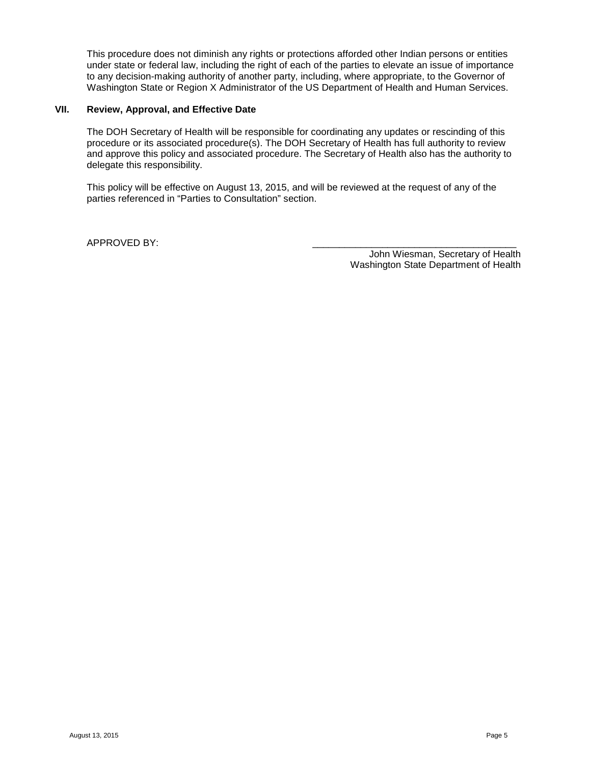This procedure does not diminish any rights or protections afforded other Indian persons or entities under state or federal law, including the right of each of the parties to elevate an issue of importance to any decision-making authority of another party, including, where appropriate, to the Governor of Washington State or Region X Administrator of the US Department of Health and Human Services.

### **VII. Review, Approval, and Effective Date**

The DOH Secretary of Health will be responsible for coordinating any updates or rescinding of this procedure or its associated procedure(s). The DOH Secretary of Health has full authority to review and approve this policy and associated procedure. The Secretary of Health also has the authority to delegate this responsibility.

This policy will be effective on August 13, 2015, and will be reviewed at the request of any of the parties referenced in "Parties to Consultation" section.

APPROVED BY:

John Wiesman, Secretary of Health Washington State Department of Health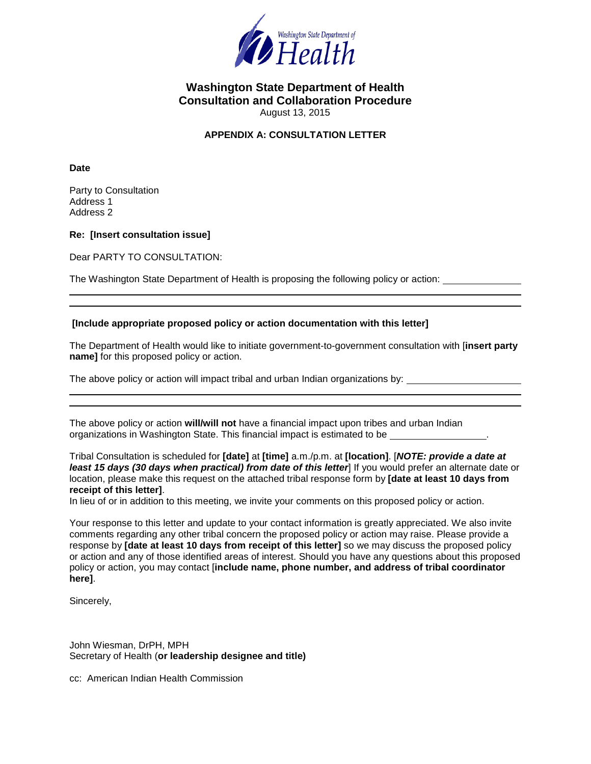

August 13, 2015

## **APPENDIX A: CONSULTATION LETTER**

**Date**

Party to Consultation Address 1 Address 2

**Re: [Insert consultation issue]**

Dear PARTY TO CONSULTATION:

The Washington State Department of Health is proposing the following policy or action:

#### **[Include appropriate proposed policy or action documentation with this letter]**

The Department of Health would like to initiate government-to-government consultation with [**insert party name]** for this proposed policy or action.

The above policy or action will impact tribal and urban Indian organizations by:

The above policy or action **will/will not** have a financial impact upon tribes and urban Indian organizations in Washington State. This financial impact is estimated to be .

Tribal Consultation is scheduled for **[date]** at **[time]** a.m./p.m. at **[location]**. [*NOTE: provide a date at least 15 days (30 days when practical) from date of this letter*] If you would prefer an alternate date or location, please make this request on the attached tribal response form by **[date at least 10 days from receipt of this letter]**.

In lieu of or in addition to this meeting, we invite your comments on this proposed policy or action.

Your response to this letter and update to your contact information is greatly appreciated. We also invite comments regarding any other tribal concern the proposed policy or action may raise. Please provide a response by **[date at least 10 days from receipt of this letter]** so we may discuss the proposed policy or action and any of those identified areas of interest. Should you have any questions about this proposed policy or action, you may contact [**include name, phone number, and address of tribal coordinator here]**.

Sincerely,

John Wiesman, DrPH, MPH Secretary of Health (**or leadership designee and title)**

cc: American Indian Health Commission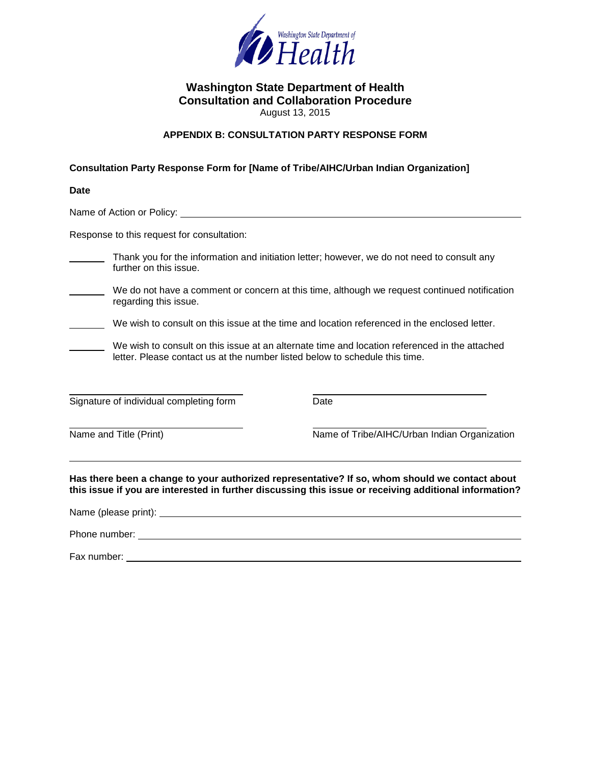

August 13, 2015

## **APPENDIX B: CONSULTATION PARTY RESPONSE FORM**

## **Consultation Party Response Form for [Name of Tribe/AIHC/Urban Indian Organization]**

| <b>Date</b>                                                                                                                                                                                                                          |                                                                                               |
|--------------------------------------------------------------------------------------------------------------------------------------------------------------------------------------------------------------------------------------|-----------------------------------------------------------------------------------------------|
|                                                                                                                                                                                                                                      |                                                                                               |
| Response to this request for consultation:                                                                                                                                                                                           |                                                                                               |
| further on this issue.                                                                                                                                                                                                               | Thank you for the information and initiation letter; however, we do not need to consult any   |
| regarding this issue.                                                                                                                                                                                                                | We do not have a comment or concern at this time, although we request continued notification  |
| We wish to consult on this issue at the time and location referenced in the enclosed letter.                                                                                                                                         |                                                                                               |
| letter. Please contact us at the number listed below to schedule this time.                                                                                                                                                          | We wish to consult on this issue at an alternate time and location referenced in the attached |
| Signature of individual completing form                                                                                                                                                                                              | Date                                                                                          |
| Name and Title (Print)                                                                                                                                                                                                               | Name of Tribe/AIHC/Urban Indian Organization                                                  |
| Has there been a change to your authorized representative? If so, whom should we contact about<br>this issue if you are interested in further discussing this issue or receiving additional information?                             |                                                                                               |
|                                                                                                                                                                                                                                      |                                                                                               |
| Phone number: <u>contract the contract of the contract of the contract of the contract of the contract of the contract of the contract of the contract of the contract of the contract of the contract of the contract of the co</u> |                                                                                               |

Fax number: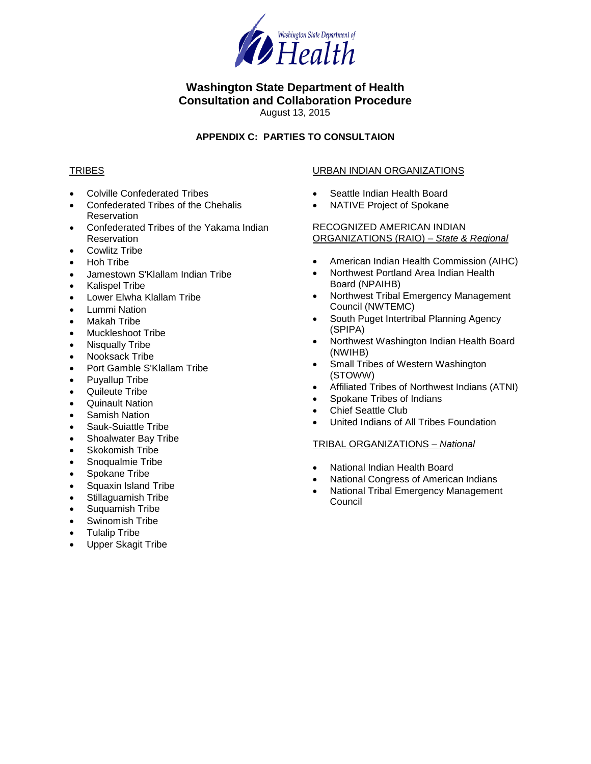

August 13, 2015

## **APPENDIX C: PARTIES TO CONSULTAION**

## **TRIBES**

- Colville Confederated Tribes
- Confederated Tribes of the Chehalis Reservation
- Confederated Tribes of the Yakama Indian Reservation
- Cowlitz Tribe
- Hoh Tribe
- Jamestown S'Klallam Indian Tribe
- Kalispel Tribe
- Lower Elwha Klallam Tribe
- Lummi Nation
- Makah Tribe
- Muckleshoot Tribe
- Nisqually Tribe
- Nooksack Tribe
- Port Gamble S'Klallam Tribe
- Puyallup Tribe
- Quileute Tribe
- Quinault Nation
- Samish Nation
- Sauk-Suiattle Tribe
- Shoalwater Bay Tribe
- Skokomish Tribe
- Snoqualmie Tribe
- Spokane Tribe
- Squaxin Island Tribe
- Stillaguamish Tribe
- Suquamish Tribe
- Swinomish Tribe
- Tulalip Tribe
- Upper Skagit Tribe

## URBAN INDIAN ORGANIZATIONS

- Seattle Indian Health Board
- NATIVE Project of Spokane

## RECOGNIZED AMERICAN INDIAN ORGANIZATIONS (RAIO) – *State & Regional*

- American Indian Health Commission (AIHC)
- Northwest Portland Area Indian Health Board (NPAIHB)
- Northwest Tribal Emergency Management Council (NWTEMC)
- South Puget Intertribal Planning Agency (SPIPA)
- Northwest Washington Indian Health Board (NWIHB)
- Small Tribes of Western Washington (STOWW)
- Affiliated Tribes of Northwest Indians (ATNI)
- Spokane Tribes of Indians
- Chief Seattle Club
- United Indians of All Tribes Foundation

## TRIBAL ORGANIZATIONS – *National*

- National Indian Health Board
- National Congress of American Indians
- National Tribal Emergency Management **Council**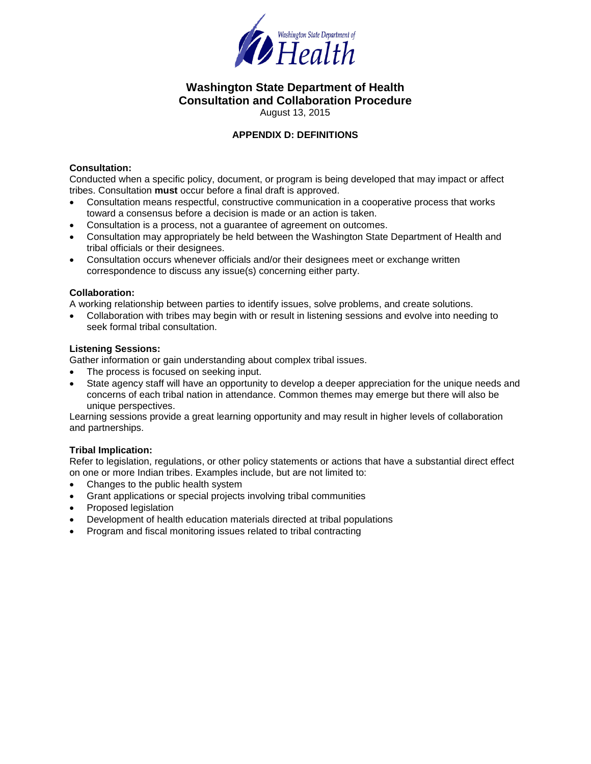

August 13, 2015

## **APPENDIX D: DEFINITIONS**

## **Consultation:**

Conducted when a specific policy, document, or program is being developed that may impact or affect tribes. Consultation **must** occur before a final draft is approved.

- Consultation means respectful, constructive communication in a cooperative process that works toward a consensus before a decision is made or an action is taken.
- Consultation is a process, not a guarantee of agreement on outcomes.
- Consultation may appropriately be held between the Washington State Department of Health and tribal officials or their designees.
- Consultation occurs whenever officials and/or their designees meet or exchange written correspondence to discuss any issue(s) concerning either party.

### **Collaboration:**

A working relationship between parties to identify issues, solve problems, and create solutions.

• Collaboration with tribes may begin with or result in listening sessions and evolve into needing to seek formal tribal consultation.

### **Listening Sessions:**

Gather information or gain understanding about complex tribal issues.

- The process is focused on seeking input.
- State agency staff will have an opportunity to develop a deeper appreciation for the unique needs and concerns of each tribal nation in attendance. Common themes may emerge but there will also be unique perspectives.

Learning sessions provide a great learning opportunity and may result in higher levels of collaboration and partnerships.

## **Tribal Implication:**

Refer to legislation, regulations, or other policy statements or actions that have a substantial direct effect on one or more Indian tribes. Examples include, but are not limited to:

- Changes to the public health system
- Grant applications or special projects involving tribal communities
- Proposed legislation
- Development of health education materials directed at tribal populations
- Program and fiscal monitoring issues related to tribal contracting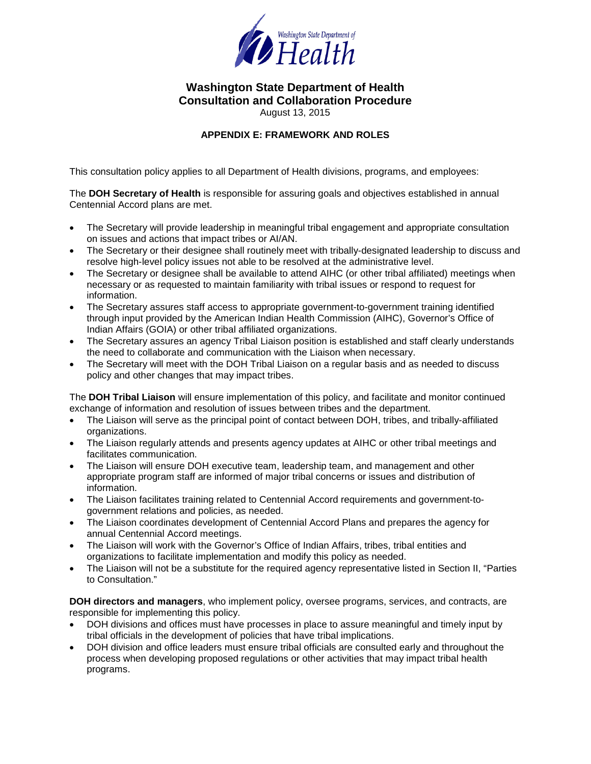

August 13, 2015

## **APPENDIX E: FRAMEWORK AND ROLES**

This consultation policy applies to all Department of Health divisions, programs, and employees:

The **DOH Secretary of Health** is responsible for assuring goals and objectives established in annual Centennial Accord plans are met.

- The Secretary will provide leadership in meaningful tribal engagement and appropriate consultation on issues and actions that impact tribes or AI/AN.
- The Secretary or their designee shall routinely meet with tribally-designated leadership to discuss and resolve high-level policy issues not able to be resolved at the administrative level.
- The Secretary or designee shall be available to attend AIHC (or other tribal affiliated) meetings when necessary or as requested to maintain familiarity with tribal issues or respond to request for information.
- The Secretary assures staff access to appropriate government-to-government training identified through input provided by the American Indian Health Commission (AIHC), Governor's Office of Indian Affairs (GOIA) or other tribal affiliated organizations.
- The Secretary assures an agency Tribal Liaison position is established and staff clearly understands the need to collaborate and communication with the Liaison when necessary.
- The Secretary will meet with the DOH Tribal Liaison on a regular basis and as needed to discuss policy and other changes that may impact tribes.

The **DOH Tribal Liaison** will ensure implementation of this policy, and facilitate and monitor continued exchange of information and resolution of issues between tribes and the department.

- The Liaison will serve as the principal point of contact between DOH, tribes, and tribally-affiliated organizations.
- The Liaison regularly attends and presents agency updates at AIHC or other tribal meetings and facilitates communication.
- The Liaison will ensure DOH executive team, leadership team, and management and other appropriate program staff are informed of major tribal concerns or issues and distribution of information.
- The Liaison facilitates training related to Centennial Accord requirements and government-togovernment relations and policies, as needed.
- The Liaison coordinates development of Centennial Accord Plans and prepares the agency for annual Centennial Accord meetings.
- The Liaison will work with the Governor's Office of Indian Affairs, tribes, tribal entities and organizations to facilitate implementation and modify this policy as needed.
- The Liaison will not be a substitute for the required agency representative listed in Section II, "Parties to Consultation."

**DOH directors and managers**, who implement policy, oversee programs, services, and contracts, are responsible for implementing this policy.

- DOH divisions and offices must have processes in place to assure meaningful and timely input by tribal officials in the development of policies that have tribal implications.
- DOH division and office leaders must ensure tribal officials are consulted early and throughout the process when developing proposed regulations or other activities that may impact tribal health programs.